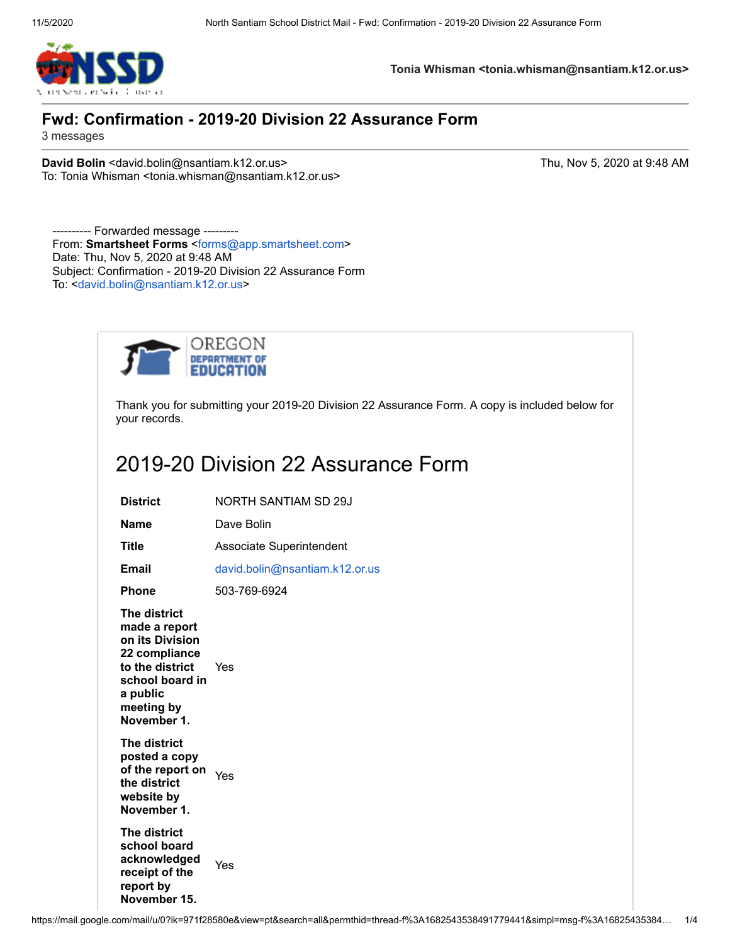

Thank you for submitting your 2019-20 Division 22 Assurance Form. A copy is included below for your records.

## 2019-20 Division 22 Assurance Form

| <b>District</b>                                                                                                                                  | NORTH SANTIAM SD 29J           |
|--------------------------------------------------------------------------------------------------------------------------------------------------|--------------------------------|
| Name                                                                                                                                             | Dave Bolin                     |
| <b>Title</b>                                                                                                                                     | Associate Superintendent       |
| <b>Email</b>                                                                                                                                     | david.bolin@nsantiam.k12.or.us |
| <b>Phone</b>                                                                                                                                     | 503-769-6924                   |
| The district<br>made a report<br>on its Division<br>22 compliance<br>to the district<br>school board in<br>a public<br>meeting by<br>November 1. | Yes                            |
| The district<br>posted a copy<br>of the report on<br>the district<br>website by<br>November 1.                                                   | Yes                            |
| The district<br>school board<br>acknowledged<br>receipt of the<br>report by<br>November 15.                                                      | Yes                            |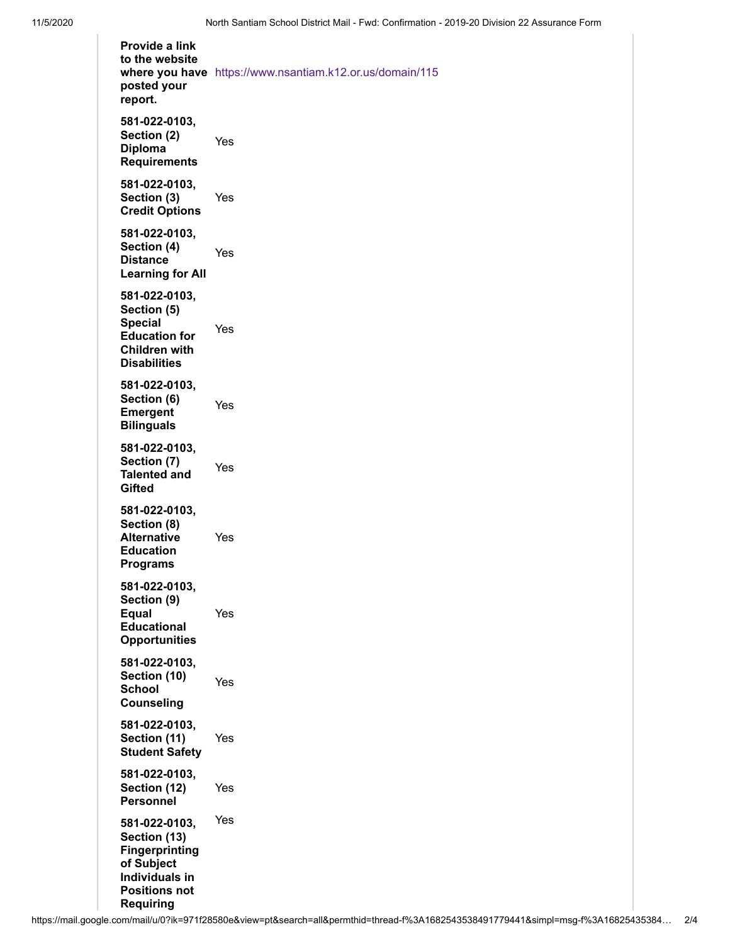**Provide a link to the website where you have** <https://www.nsantiam.k12.or.us/domain/115> **posted your report. 581-022-0103, Section (2) Diploma Requirements** Yes **581-022-0103, Section (3) Credit Options** Yes **581-022-0103, Section (4) Distance Learning for All** Yes **581-022-0103, Section (5) Special Education for Children with Disabilities** Yes **581-022-0103, Section (6) Emergent Bilinguals** Yes **581-022-0103, Section (7) Talented and Gifted** Yes **581-022-0103, Section (8) Alternative Education Programs** Yes **581-022-0103, Section (9) Equal Educational Opportunities** Yes **581-022-0103, Section (10) School Counseling** Yes **581-022-0103, Section (11) Student Safety** Yes **581-022-0103, Section (12) Personnel** Yes **581-022-0103, Section (13) Fingerprinting of Subject Individuals in Positions not Requiring** Yes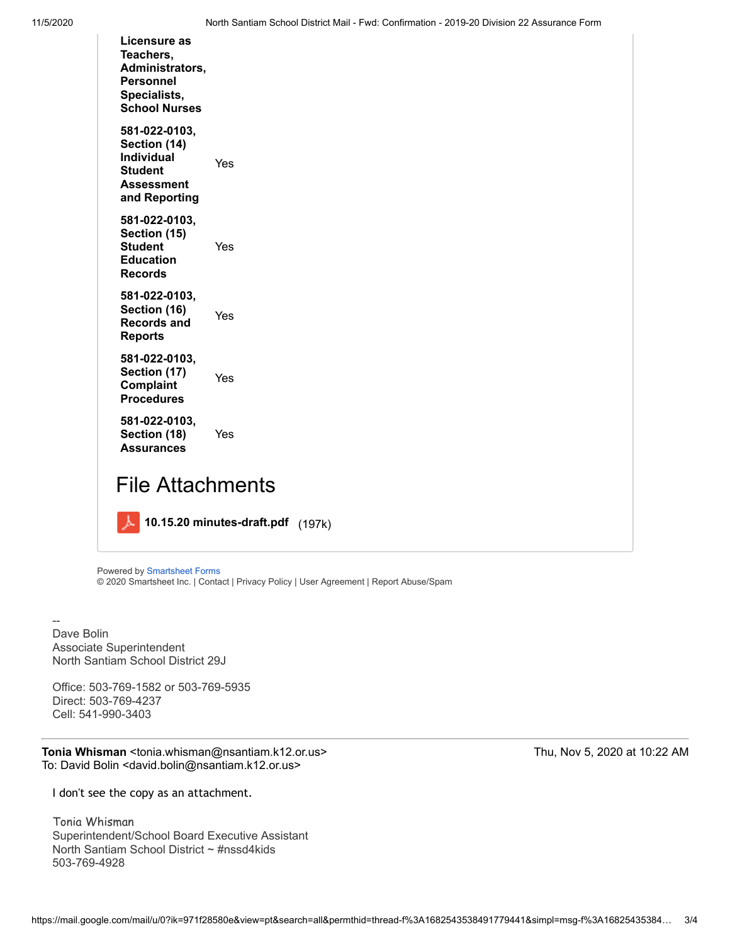| Licensure as<br>Teachers.<br>Administrators,<br>Personnel<br>Specialists,<br><b>School Nurses</b>   |     |
|-----------------------------------------------------------------------------------------------------|-----|
| 581-022-0103,<br>Section (14)<br><b>Individual</b><br><b>Student</b><br>Assessment<br>and Reporting | Yes |
| 581-022-0103,<br>Section (15)<br><b>Student</b><br><b>Education</b><br><b>Records</b>               | Yes |
| 581-022-0103,<br>Section (16)<br><b>Records and</b><br><b>Reports</b>                               | Yes |
| 581-022-0103,<br>Section (17)<br>Complaint<br><b>Procedures</b>                                     | Yes |
| 581-022-0103,<br>Section (18)<br><b>Assurances</b>                                                  | Yes |